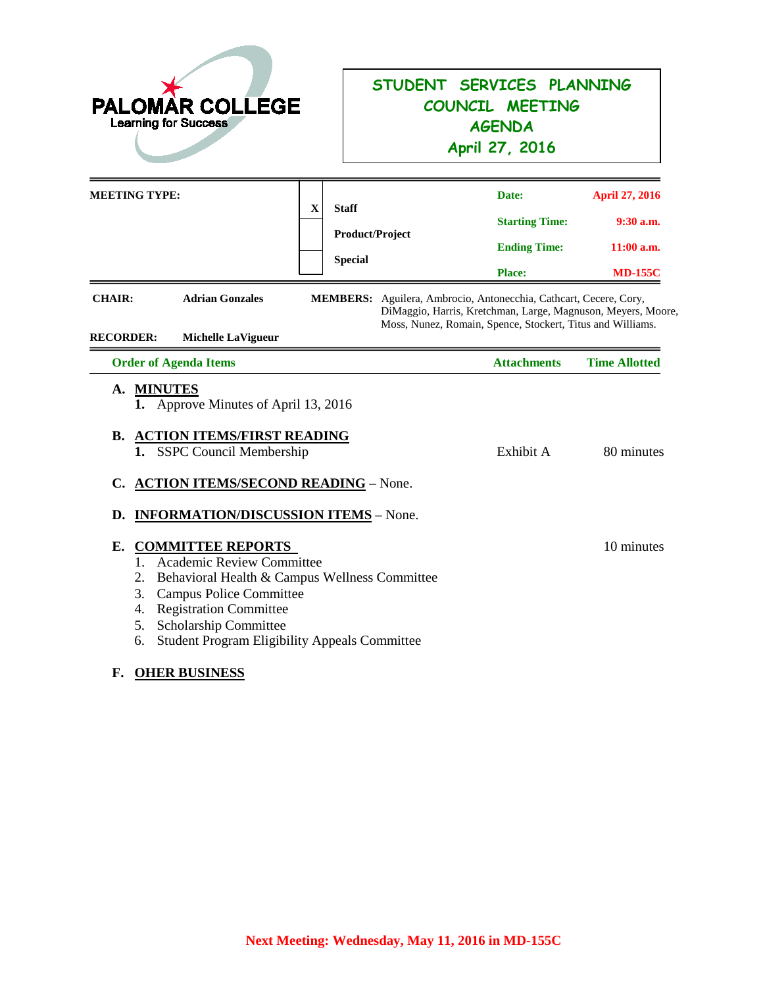| <b>PALOMAR COLLEGE</b><br><b>Learning for Success</b>                                                                                                                          |                                                                                                       | STUDENT SERVICES PLANNING<br>COUNCIL MEETING<br><b>AGENDA</b><br>April 27, 2016                                                                  |                                                                        |  |
|--------------------------------------------------------------------------------------------------------------------------------------------------------------------------------|-------------------------------------------------------------------------------------------------------|--------------------------------------------------------------------------------------------------------------------------------------------------|------------------------------------------------------------------------|--|
| <b>MEETING TYPE:</b>                                                                                                                                                           | $\mathbf X$<br><b>Staff</b><br>Product/Project<br><b>Special</b>                                      | Date:<br><b>Starting Time:</b><br><b>Ending Time:</b><br><b>Place:</b>                                                                           | <b>April 27, 2016</b><br>$9:30$ a.m.<br>$11:00$ a.m.<br><b>MD-155C</b> |  |
| <b>Adrian Gonzales</b><br><b>CHAIR:</b><br><b>RECORDER:</b><br><b>Michelle LaVigueur</b><br><b>Order of Agenda Items</b>                                                       | MEMBERS: Aguilera, Ambrocio, Antonecchia, Cathcart, Cecere, Cory,                                     | DiMaggio, Harris, Kretchman, Large, Magnuson, Meyers, Moore,<br>Moss, Nunez, Romain, Spence, Stockert, Titus and Williams.<br><b>Attachments</b> | <b>Time Allotted</b>                                                   |  |
| A. MINUTES<br>1. Approve Minutes of April 13, 2016<br><b>ACTION ITEMS/FIRST READING</b><br>В.<br>1. SSPC Council Membership<br>C.<br>D.                                        | <b>ACTION ITEMS/SECOND READING - None.</b><br><b>INFORMATION/DISCUSSION ITEMS - None.</b>             | Exhibit A                                                                                                                                        | 80 minutes                                                             |  |
| Е.<br><b>COMMITTEE REPORTS</b><br>1. Academic Review Committee<br>2.<br>3.<br><b>Campus Police Committee</b><br>4. Registration Committee<br>Scholarship Committee<br>5.<br>6. | Behavioral Health & Campus Wellness Committee<br><b>Student Program Eligibility Appeals Committee</b> |                                                                                                                                                  | 10 minutes                                                             |  |

# **F. OHER BUSINESS**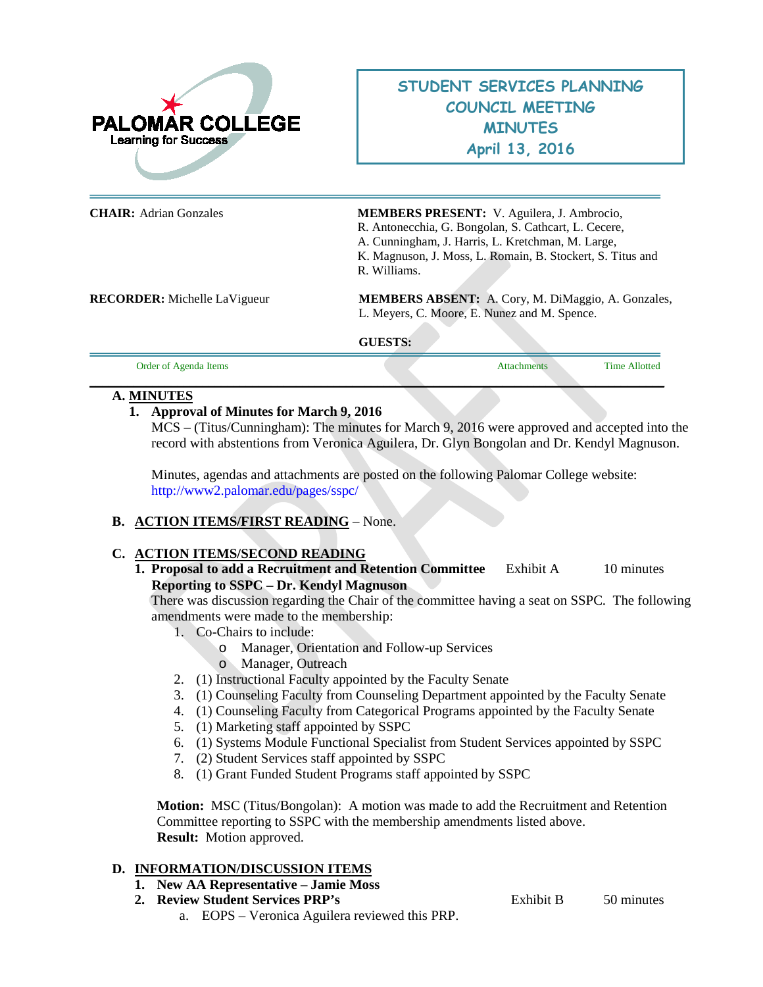

# **STUDENT SERVICES PLANNING COUNCIL MEETING MINUTES April 13, 2016**

| <b>CHAIR:</b> Adrian Gonzales       | MEMBERS PRESENT: V. Aguilera, J. Ambrocio,                 |  |
|-------------------------------------|------------------------------------------------------------|--|
|                                     | R. Antonecchia, G. Bongolan, S. Cathcart, L. Cecere,       |  |
|                                     | A. Cunningham, J. Harris, L. Kretchman, M. Large,          |  |
|                                     | K. Magnuson, J. Moss, L. Romain, B. Stockert, S. Titus and |  |
|                                     | R. Williams.                                               |  |
| <b>RECORDER:</b> Michelle LaVigueur | <b>MEMBERS ABSENT:</b> A. Cory, M. DiMaggio, A. Gonzales,  |  |
|                                     | L. Meyers, C. Moore, E. Nunez and M. Spence.               |  |
|                                     | <b>GUESTS:</b>                                             |  |
|                                     |                                                            |  |

Order of Agenda Items **Attachments** Time Allotted **Time Allotted** Time Allotted **Time Allotted \_\_\_\_\_\_\_\_\_\_\_\_\_\_\_\_\_\_\_\_\_\_\_\_\_\_\_\_\_\_\_\_\_\_\_\_\_\_\_\_\_\_\_\_\_\_\_\_\_\_\_\_\_\_\_\_\_\_\_\_\_\_\_\_\_\_\_\_\_\_\_\_\_\_\_\_\_\_\_\_\_\_\_\_\_\_\_\_\_\_\_\_**

#### **A. MINUTES**

#### **1. Approval of Minutes for March 9, 2016**

MCS – (Titus/Cunningham): The minutes for March 9, 2016 were approved and accepted into the record with abstentions from Veronica Aguilera, Dr. Glyn Bongolan and Dr. Kendyl Magnuson.

Minutes, agendas and attachments are posted on the following Palomar College website: <http://www2.palomar.edu/pages/sspc/>

### **B. ACTION ITEMS/FIRST READING** – None.

### **C. ACTION ITEMS/SECOND READING**

**1. Proposal to add a Recruitment and Retention Committee** Exhibit A 10 minutes **Reporting to SSPC – Dr. Kendyl Magnuson**

There was discussion regarding the Chair of the committee having a seat on SSPC. The following amendments were made to the membership:

- 1. Co-Chairs to include:
	- o Manager, Orientation and Follow-up Services
	- o Manager, Outreach
- 2. (1) Instructional Faculty appointed by the Faculty Senate
- 3. (1) Counseling Faculty from Counseling Department appointed by the Faculty Senate
- 4. (1) Counseling Faculty from Categorical Programs appointed by the Faculty Senate
- 5. (1) Marketing staff appointed by SSPC
- 6. (1) Systems Module Functional Specialist from Student Services appointed by SSPC
- 7. (2) Student Services staff appointed by SSPC
- 8. (1) Grant Funded Student Programs staff appointed by SSPC

**Motion:** MSC (Titus/Bongolan): A motion was made to add the Recruitment and Retention Committee reporting to SSPC with the membership amendments listed above. **Result:** Motion approved.

### **D. INFORMATION/DISCUSSION ITEMS**

- **1. New AA Representative – Jamie Moss**
- **2. Review Student Services PRP's** Exhibit B 50 minutes
	- a. EOPS Veronica Aguilera reviewed this PRP.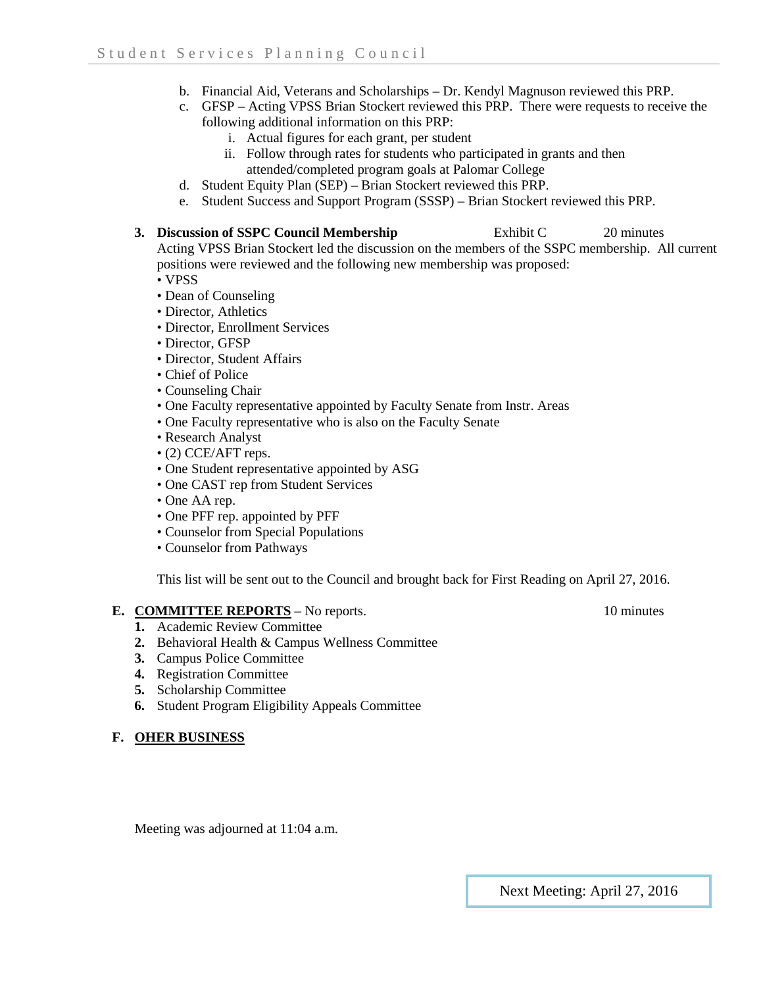- b. Financial Aid, Veterans and Scholarships Dr. Kendyl Magnuson reviewed this PRP.
- c. GFSP Acting VPSS Brian Stockert reviewed this PRP. There were requests to receive the following additional information on this PRP:
	- i. Actual figures for each grant, per student
	- ii. Follow through rates for students who participated in grants and then attended/completed program goals at Palomar College
- d. Student Equity Plan (SEP) Brian Stockert reviewed this PRP.
- e. Student Success and Support Program (SSSP) Brian Stockert reviewed this PRP.
- **3. Discussion of SSPC Council Membership** Exhibit C 20 minutes Acting VPSS Brian Stockert led the discussion on the members of the SSPC membership. All current positions were reviewed and the following new membership was proposed:
	- VPSS
	- Dean of Counseling
	- Director, Athletics
	- Director, Enrollment Services
	- Director, GFSP
	- Director, Student Affairs
	- Chief of Police
	- Counseling Chair
	- One Faculty representative appointed by Faculty Senate from Instr. Areas
	- One Faculty representative who is also on the Faculty Senate
	- Research Analyst
	- (2) CCE/AFT reps.
	- One Student representative appointed by ASG
	- One CAST rep from Student Services
	- One AA rep.
	- One PFF rep. appointed by PFF
	- Counselor from Special Populations
	- Counselor from Pathways

This list will be sent out to the Council and brought back for First Reading on April 27, 2016.

#### **E. COMMITTEE REPORTS** – No reports. 10 minutes

- **1.** Academic Review Committee
- **2.** Behavioral Health & Campus Wellness Committee
- **3.** Campus Police Committee
- **4.** Registration Committee
- **5.** Scholarship Committee
- **6.** Student Program Eligibility Appeals Committee

### **F. OHER BUSINESS**

Meeting was adjourned at 11:04 a.m.

### Next Meeting: April 27, 2016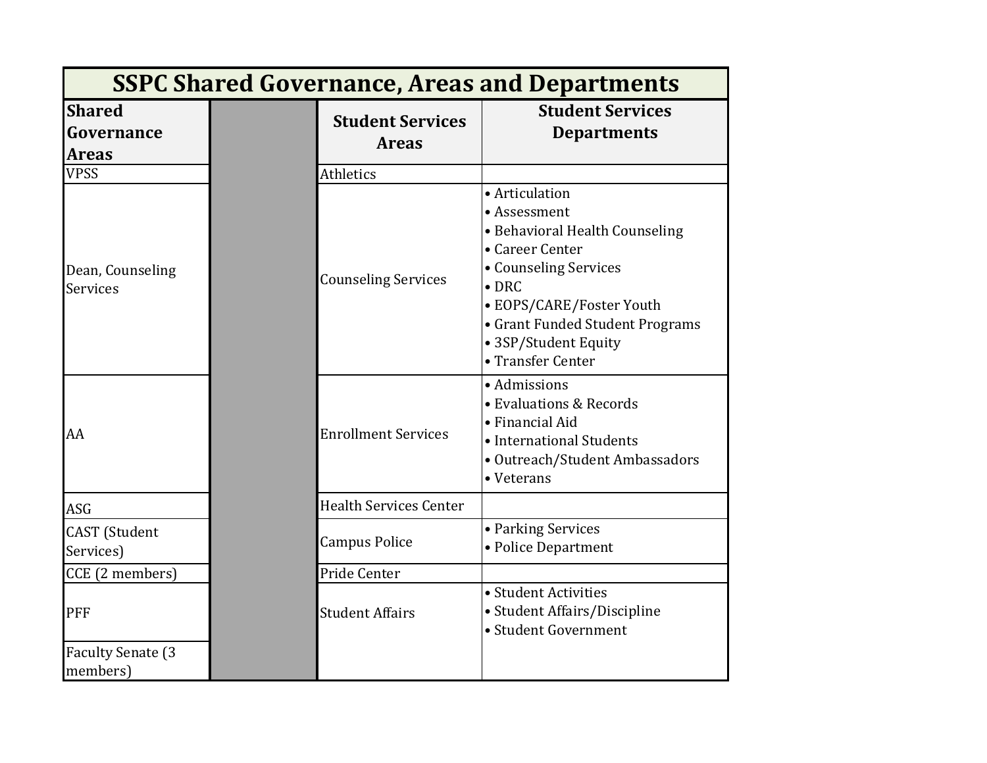| <b>SSPC Shared Governance, Areas and Departments</b> |  |                                         |                                                                                                                                                                                                                                           |  |
|------------------------------------------------------|--|-----------------------------------------|-------------------------------------------------------------------------------------------------------------------------------------------------------------------------------------------------------------------------------------------|--|
| <b>Shared</b><br>Governance<br><b>Areas</b>          |  | <b>Student Services</b><br><b>Areas</b> | <b>Student Services</b><br><b>Departments</b>                                                                                                                                                                                             |  |
| <b>VPSS</b>                                          |  | Athletics                               |                                                                                                                                                                                                                                           |  |
| Dean, Counseling<br>Services                         |  | <b>Counseling Services</b>              | • Articulation<br>• Assessment<br>· Behavioral Health Counseling<br>• Career Center<br>• Counseling Services<br>$\bullet$ DRC<br>• EOPS/CARE/Foster Youth<br>• Grant Funded Student Programs<br>• 3SP/Student Equity<br>• Transfer Center |  |
| AA                                                   |  | <b>Enrollment Services</b>              | · Admissions<br>• Evaluations & Records<br>• Financial Aid<br>• International Students<br>· Outreach/Student Ambassadors<br>• Veterans                                                                                                    |  |
| <b>ASG</b>                                           |  | <b>Health Services Center</b>           |                                                                                                                                                                                                                                           |  |
| <b>CAST</b> (Student<br>Services)                    |  | <b>Campus Police</b>                    | • Parking Services<br>• Police Department                                                                                                                                                                                                 |  |
| CCE (2 members)                                      |  | Pride Center                            |                                                                                                                                                                                                                                           |  |
| PFF                                                  |  | <b>Student Affairs</b>                  | • Student Activities<br>• Student Affairs/Discipline<br>• Student Government                                                                                                                                                              |  |
| <b>Faculty Senate (3)</b><br>members)                |  |                                         |                                                                                                                                                                                                                                           |  |